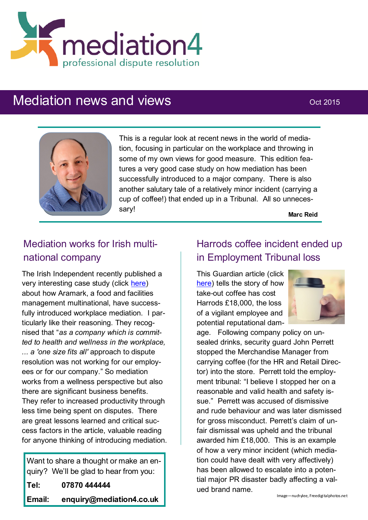

# Mediation news and views **Mediation** oct 2015



This is a regular look at recent news in the world of mediation, focusing in particular on the workplace and throwing in some of my own views for good measure. This edition features a very good case study on how mediation has been successfully introduced to a major company. There is also another salutary tale of a relatively minor incident (carrying a cup of coffee!) that ended up in a Tribunal. All so unnecessary!

**Marc Reid**

# Mediation works for Irish multinational company

The Irish Independent recently published a very interesting case study (click [here\)](http://www.independent.ie/business/small-business/advice-centre/mediation-its-the-most-useful-approach-to-workplace-disputes-31487257.html) about how Aramark, a food and facilities management multinational, have successfully introduced workplace mediation. I particularly like their reasoning. They recognised that "*as a company which is committed to health and wellness in the workplace, ... a 'one size fits all'* approach to dispute resolution was not working for our employees or for our company." So mediation works from a wellness perspective but also there are significant business benefits. They refer to increased productivity through less time being spent on disputes. There are great lessons learned and critical success factors in the article, valuable reading for anyone thinking of introducing mediation.

Want to share a thought or make an enquiry? We'll be glad to hear from you:

**Tel: 07870 444444**

**Email: enquiry@mediation4.co.uk**

#### Harrods coffee incident ended up in Employment Tribunal loss

This Guardian article (click [here\)](http://www.theguardian.com/uk-news/2015/sep/21/harrods-forced-to-pay-18000-to-ex-security-guard-over-coffee-row-sacking) tells the story of how take-out coffee has cost Harrods £18,000, the loss of a vigilant employee and potential reputational dam-



age. Following company policy on unsealed drinks, security guard John Perrett stopped the Merchandise Manager from carrying coffee (for the HR and Retail Director) into the store. Perrett told the employment tribunal: "I believe I stopped her on a reasonable and valid health and safety issue." Perrett was accused of dismissive and rude behaviour and was later dismissed for gross misconduct. Perrett's claim of unfair dismissal was upheld and the tribunal awarded him £18,000. This is an example of how a very minor incident (which mediation could have dealt with very affectively) has been allowed to escalate into a potential major PR disaster badly affecting a valued brand name.